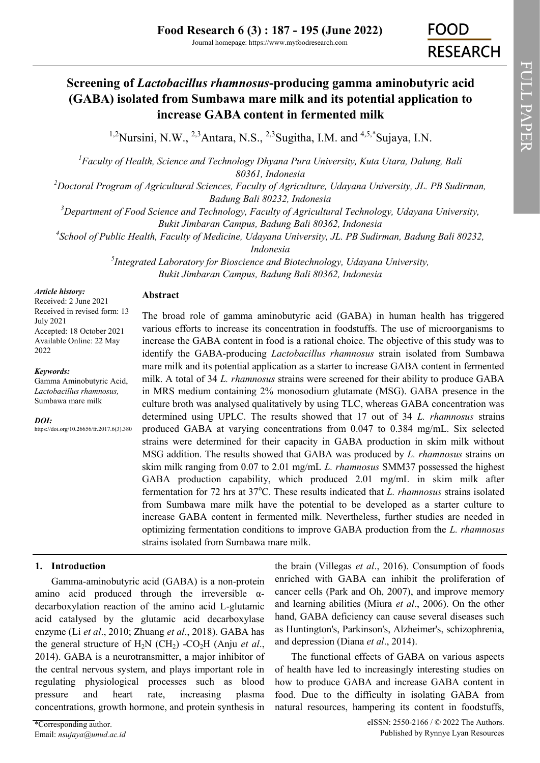# **Screening of** *Lactobacillus rhamnosus***-producing gamma aminobutyric acid (GABA) isolated from Sumbawa mare milk and its potential application to increase GABA content in fermented milk**

<sup>1,2</sup>Nursini, N.W., <sup>2,3</sup>Antara, N.S., <sup>2,3</sup>Sugitha, I.M. and <sup>4,5,\*</sup>Sujaya, I.N.

*<sup>1</sup>Faculty of Health, Science and Technology Dhyana Pura University, Kuta Utara, Dalung, Bali 80361, Indonesia*

*<sup>2</sup>Doctoral Program of Agricultural Sciences, Faculty of Agriculture, Udayana University, JL. PB Sudirman, Badung Bali 80232, Indonesia*

*<sup>3</sup>Department of Food Science and Technology, Faculty of Agricultural Technology, Udayana University, Bukit Jimbaran Campus, Badung Bali 80362, Indonesia*

*4 School of Public Health, Faculty of Medicine, Udayana University, JL. PB Sudirman, Badung Bali 80232,* 

*Indonesia*

*5 Integrated Laboratory for Bioscience and Biotechnology, Udayana University, Bukit Jimbaran Campus, Badung Bali 80362, Indonesia*

#### *Article history:*

Received: 2 June 2021 Received in revised form: 13 July 2021 Accepted: 18 October 2021 Available Online: 22 May 2022

*Keywords:*

Gamma Aminobutyric Acid, *Lactobacillus rhamnosus,*  Sumbawa mare milk

*DOI:*

https://doi.org/10.26656/fr.2017.6(3).380

## The broad role of gamma aminobutyric acid (GABA) in human health has triggered various efforts to increase its concentration in foodstuffs. The use of microorganisms to increase the GABA content in food is a rational choice. The objective of this study was to identify the GABA-producing *Lactobacillus rhamnosus* strain isolated from Sumbawa mare milk and its potential application as a starter to increase GABA content in fermented milk. A total of 34 *L. rhamnosus* strains were screened for their ability to produce GABA in MRS medium containing 2% monosodium glutamate (MSG). GABA presence in the culture broth was analysed qualitatively by using TLC, whereas GABA concentration was determined using UPLC. The results showed that 17 out of 34 *L. rhamnosus* strains produced GABA at varying concentrations from 0.047 to 0.384 mg/mL. Six selected strains were determined for their capacity in GABA production in skim milk without MSG addition. The results showed that GABA was produced by *L. rhamnosus* strains on skim milk ranging from 0.07 to 2.01 mg/mL *L. rhamnosus* SMM37 possessed the highest GABA production capability, which produced 2.01 mg/mL in skim milk after fermentation for 72 hrs at 37°C. These results indicated that *L. rhamnosus* strains isolated from Sumbawa mare milk have the potential to be developed as a starter culture to increase GABA content in fermented milk. Nevertheless, further studies are needed in optimizing fermentation conditions to improve GABA production from the *L. rhamnosus* strains isolated from Sumbawa mare milk.

## **1. Introduction**

Gamma-aminobutyric acid (GABA) is a non-protein amino acid produced through the irreversible αdecarboxylation reaction of the amino acid L-glutamic acid catalysed by the glutamic acid decarboxylase enzyme (Li *et al*., 2010; Zhuang *et al*., 2018). GABA has the general structure of  $H_2N$  (CH<sub>2</sub>) -CO<sub>2</sub>H (Anju *et al.*, 2014). GABA is a neurotransmitter, a major inhibitor of the central nervous system, and plays important role in regulating physiological processes such as blood pressure and heart rate, increasing plasma concentrations, growth hormone, and protein synthesis in

**Abstract**

the brain (Villegas *et al*., 2016). Consumption of foods enriched with GABA can inhibit the proliferation of cancer cells (Park and Oh, 2007), and improve memory and learning abilities (Miura *et al*., 2006). On the other hand, GABA deficiency can cause several diseases such as Huntington's, Parkinson's, Alzheimer's, schizophrenia, and depression (Diana *et al*., 2014).

The functional effects of GABA on various aspects of health have led to increasingly interesting studies on how to produce GABA and increase GABA content in food. Due to the difficulty in isolating GABA from natural resources, hampering its content in foodstuffs,

FULL PAPER

FULL PAPER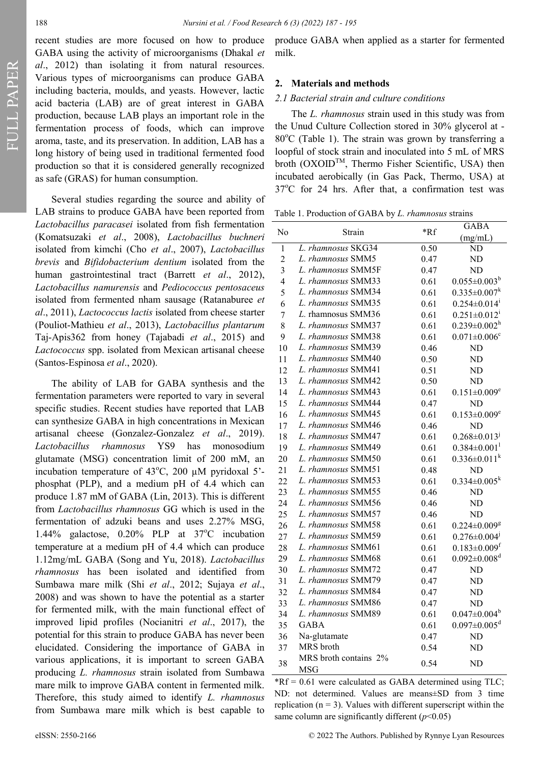FULL PAPER

recent studies are more focused on how to produce GABA using the activity of microorganisms (Dhakal *et al*., 2012) than isolating it from natural resources. Various types of microorganisms can produce GABA including bacteria, moulds, and yeasts. However, lactic acid bacteria (LAB) are of great interest in GABA production, because LAB plays an important role in the fermentation process of foods, which can improve aroma, taste, and its preservation. In addition, LAB has a long history of being used in traditional fermented food production so that it is considered generally recognized as safe (GRAS) for human consumption.

Several studies regarding the source and ability of LAB strains to produce GABA have been reported from *Lactobacillus paracasei* isolated from fish fermentation (Komatsuzaki *et al*., 2008), *Lactobacillus buchneri* isolated from kimchi (Cho *et al*., 2007), *Lactobacillus brevis* and *Bifidobacterium dentium* isolated from the human gastrointestinal tract (Barrett *et al*., 2012), *Lactobacillus namurensis* and *Pediococcus pentosaceus* isolated from fermented nham sausage (Ratanaburee *et al*., 2011), *Lactococcus lactis* isolated from cheese starter (Pouliot-Mathieu *et al*., 2013), *Lactobacillus plantarum* Taj-Apis362 from honey (Tajabadi *et al*., 2015) and *Lactococcus* spp. isolated from Mexican artisanal cheese (Santos-Espinosa *et al*., 2020).

The ability of LAB for GABA synthesis and the fermentation parameters were reported to vary in several specific studies. Recent studies have reported that LAB can synthesize GABA in high concentrations in Mexican artisanal cheese (Gonzalez-Gonzalez *et al*., 2019). *Lactobacillus rhamnosus* YS9 has monosodium glutamate (MSG) concentration limit of 200 mM, an incubation temperature of  $43^{\circ}$ C, 200 µM pyridoxal 5'phosphat (PLP), and a medium pH of 4.4 which can produce 1.87 mM of GABA (Lin, 2013). This is different from *Lactobacillus rhamnosus* GG which is used in the fermentation of adzuki beans and uses 2.27% MSG, 1.44% galactose,  $0.20\%$  PLP at  $37\degree$ C incubation temperature at a medium pH of 4.4 which can produce 1.12mg/mL GABA (Song and Yu, 2018). *Lactobacillus rhamnosus* has been isolated and identified from Sumbawa mare milk (Shi *et al*., 2012; Sujaya *et al*., 2008) and was shown to have the potential as a starter for fermented milk, with the main functional effect of improved lipid profiles (Nocianitri *et al*., 2017), the potential for this strain to produce GABA has never been elucidated. Considering the importance of GABA in various applications, it is important to screen GABA producing *L. rhamnosus* strain isolated from Sumbawa mare milk to improve GABA content in fermented milk. Therefore, this study aimed to identify *L. rhamnosus* from Sumbawa mare milk which is best capable to

produce GABA when applied as a starter for fermented milk.

#### **2. Materials and methods**

#### *2.1 Bacterial strain and culture conditions*

The *L. rhamnosus* strain used in this study was from the Unud Culture Collection stored in 30% glycerol at -  $80^{\circ}$ C (Table 1). The strain was grown by transferring a loopful of stock strain and inoculated into 5 mL of MRS broth  $(OXOID^{TM})$ , Thermo Fisher Scientific, USA) then incubated aerobically (in Gas Pack, Thermo, USA) at  $37^{\circ}$ C for 24 hrs. After that, a confirmation test was

Table 1. Production of GABA by *L. rhamnosus* strains

| No             | Strain                              |       | <b>GABA</b>                    |  |
|----------------|-------------------------------------|-------|--------------------------------|--|
|                |                                     | $*Rf$ | (mg/mL)                        |  |
| $\overline{1}$ | L. rhamnosus SKG34                  | 0.50  | $\overline{\text{ND}}$         |  |
| $\overline{c}$ | L. rhamnosus SMM5                   | 0.47  | N <sub>D</sub>                 |  |
| 3              | L. rhamnosus SMM5F                  | 0.47  | N <sub>D</sub>                 |  |
| 4              | L. rhamnosus SMM33                  | 0.61  | $0.055 \pm 0.003^b$            |  |
| 5              | L. rhamnosus SMM34                  | 0.61  | $0.335 \pm 0.007^k$            |  |
| 6              | L. rhamnosus SMM35                  | 0.61  | $0.254 \pm 0.014$ <sup>i</sup> |  |
| $\overline{7}$ | L. rhamnosus SMM36                  | 0.61  | $0.251 \pm 0.012$ <sup>i</sup> |  |
| 8              | L. rhamnosus SMM37                  | 0.61  | $0.239 \pm 0.002^h$            |  |
| 9              | L. rhamnosus SMM38                  | 0.61  | $0.071 \pm 0.006$ <sup>c</sup> |  |
| 10             | L. rhamnosus SMM39                  | 0.46  | <b>ND</b>                      |  |
| 11             | L. rhamnosus SMM40                  | 0.50  | ND                             |  |
| 12             | L. rhamnosus SMM41                  | 0.51  | ND                             |  |
| 13             | L. rhamnosus SMM42                  | 0.50  | <b>ND</b>                      |  |
| 14             | L. rhamnosus SMM43                  | 0.61  | $0.151 \pm 0.009$ <sup>e</sup> |  |
| 15             | L. rhamnosus SMM44                  | 0.47  | <b>ND</b>                      |  |
| 16             | L. rhamnosus SMM45                  | 0.61  | $0.153 \pm 0.009$ <sup>e</sup> |  |
| 17             | L. rhamnosus SMM46                  | 0.46  | N <sub>D</sub>                 |  |
| 18             | L. rhamnosus SMM47                  | 0.61  | $0.268 \pm 0.013^{j}$          |  |
| 19             | L. rhamnosus SMM49                  | 0.61  | $0.384 \pm 0.001$ <sup>1</sup> |  |
| 20             | L. rhamnosus SMM50                  | 0.61  | $0.336 \pm 0.011^k$            |  |
| 21             | L. rhamnosus SMM51                  | 0.48  | <b>ND</b>                      |  |
| 22             | L. rhamnosus SMM53                  | 0.61  | $0.334 \pm 0.005^k$            |  |
| 23             | L. rhamnosus SMM55                  | 0.46  | ND                             |  |
| 24             | L. rhamnosus SMM56                  | 0.46  | N <sub>D</sub>                 |  |
| 25             | L. rhamnosus SMM57                  | 0.46  | N <sub>D</sub>                 |  |
| 26             | L. rhamnosus SMM58                  | 0.61  | $0.224 \pm 0.009$ g            |  |
| 27             | L. rhamnosus SMM59                  | 0.61  | $0.276 \pm 0.004$              |  |
| 28             | L. rhamnosus SMM61                  | 0.61  | $0.183 \pm 0.009$ <sup>f</sup> |  |
| 29             | L. rhamnosus SMM68                  | 0.61  | $0.092 \pm 0.008$ <sup>d</sup> |  |
| 30             | L. rhamnosus SMM72                  | 0.47  | ND                             |  |
| 31             | L. rhamnosus SMM79                  | 0.47  | N <sub>D</sub>                 |  |
| 32             | L. rhamnosus SMM84                  | 0.47  | ND                             |  |
| 33             | L. rhamnosus SMM86                  | 0.47  | ND                             |  |
| 34             | L. rhamnosus SMM89                  | 0.61  | $0.047 \pm 0.004^b$            |  |
| 35             | <b>GABA</b>                         | 0.61  | $0.097 \pm 0.005$ <sup>d</sup> |  |
| 36             | Na-glutamate                        | 0.47  | ND                             |  |
| 37             | MRS broth                           | 0.54  | ND                             |  |
| 38             | MRS broth contains 2%<br><b>MSG</b> | 0.54  | ND                             |  |

 $*Rf = 0.61$  were calculated as GABA determined using TLC; ND: not determined. Values are means±SD from 3 time replication ( $n = 3$ ). Values with different superscript within the same column are significantly different  $(p<0.05)$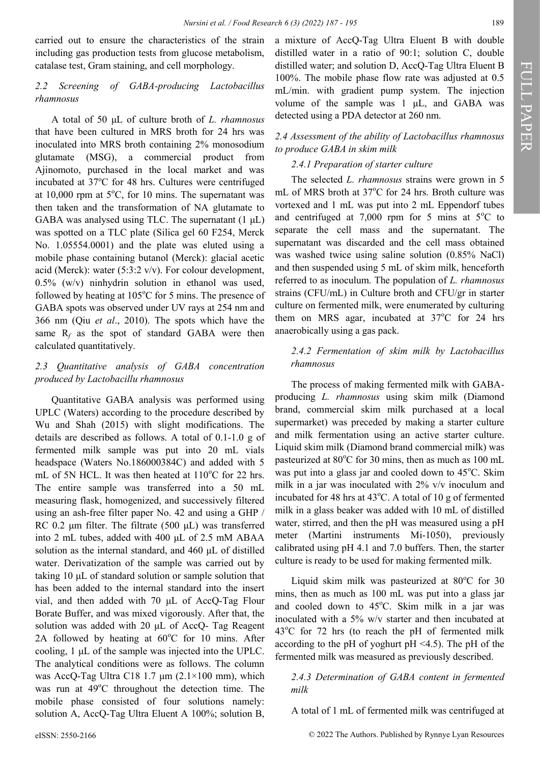carried out to ensure the characteristics of the strain including gas production tests from glucose metabolism, catalase test, Gram staining, and cell morphology.

#### *2.2 Screening of GABA-producing Lactobacillus rhamnosus*

A total of 50 μL of culture broth of *L. rhamnosus* that have been cultured in MRS broth for 24 hrs was inoculated into MRS broth containing 2% monosodium glutamate (MSG), a commercial product from Ajinomoto, purchased in the local market and was incubated at  $37^{\circ}$ C for 48 hrs. Cultures were centrifuged at 10,000 rpm at  $5^{\circ}$ C, for 10 mins. The supernatant was then taken and the transformation of NA glutamate to GABA was analysed using TLC. The supernatant  $(1 \mu L)$ was spotted on a TLC plate (Silica gel 60 F254, Merck No. 1.05554.0001) and the plate was eluted using a mobile phase containing butanol (Merck): glacial acetic acid (Merck): water (5:3:2 v/v). For colour development, 0.5% (w/v) ninhydrin solution in ethanol was used, followed by heating at  $105^{\circ}$ C for 5 mins. The presence of GABA spots was observed under UV rays at 254 nm and 366 nm (Qiu *et al*., 2010). The spots which have the same  $R_f$  as the spot of standard GABA were then calculated quantitatively.

### *2.3 Quantitative analysis of GABA concentration produced by Lactobacillu rhamnosus*

Quantitative GABA analysis was performed using UPLC (Waters) according to the procedure described by Wu and Shah (2015) with slight modifications. The details are described as follows. A total of 0.1-1.0 g of fermented milk sample was put into 20 mL vials headspace (Waters No.186000384C) and added with 5 mL of 5N HCL. It was then heated at  $110^{\circ}$ C for 22 hrs. The entire sample was transferred into a 50 mL measuring flask, homogenized, and successively filtered using an ash-free filter paper No. 42 and using a GHP / RC 0.2 μm filter. The filtrate (500 μL) was transferred into 2 mL tubes, added with 400 μL of 2.5 mM ABAA solution as the internal standard, and 460 μL of distilled water. Derivatization of the sample was carried out by taking 10 μL of standard solution or sample solution that has been added to the internal standard into the insert vial, and then added with 70 μL of AccQ-Tag Flour Borate Buffer, and was mixed vigorously. After that, the solution was added with 20 μL of AccQ- Tag Reagent 2A followed by heating at  $60^{\circ}$ C for 10 mins. After cooling, 1 μL of the sample was injected into the UPLC. The analytical conditions were as follows. The column was AccQ-Tag Ultra C18 1.7 μm (2.1×100 mm), which was run at  $49^{\circ}$ C throughout the detection time. The mobile phase consisted of four solutions namely: solution A, AccQ-Tag Ultra Eluent A 100%; solution B,

a mixture of AccQ-Tag Ultra Eluent B with double distilled water in a ratio of 90:1; solution C, double distilled water; and solution D, AccQ-Tag Ultra Eluent B 100%. The mobile phase flow rate was adjusted at 0.5 mL/min. with gradient pump system. The injection volume of the sample was 1 μL, and GABA was detected using a PDA detector at 260 nm.

### *2.4 Assessment of the ability of Lactobacillus rhamnosus to produce GABA in skim milk*

### *2.4.1 Preparation of starter culture*

The selected *L. rhamnosus* strains were grown in 5 mL of MRS broth at 37°C for 24 hrs. Broth culture was vortexed and 1 mL was put into 2 mL Eppendorf tubes and centrifuged at 7,000 rpm for 5 mins at  $5^{\circ}$ C to separate the cell mass and the supernatant. The supernatant was discarded and the cell mass obtained was washed twice using saline solution (0.85% NaCl) and then suspended using 5 mL of skim milk, henceforth referred to as inoculum. The population of *L. rhamnosus*  strains (CFU/mL) in Culture broth and CFU/gr in starter culture on fermented milk, were enumerated by culturing them on MRS agar, incubated at  $37^{\circ}$ C for 24 hrs anaerobically using a gas pack.

## *2.4.2 Fermentation of skim milk by Lactobacillus rhamnosus*

The process of making fermented milk with GABAproducing *L. rhamnosus* using skim milk (Diamond brand, commercial skim milk purchased at a local supermarket) was preceded by making a starter culture and milk fermentation using an active starter culture. Liquid skim milk (Diamond brand commercial milk) was pasteurized at  $80^{\circ}$ C for 30 mins, then as much as 100 mL was put into a glass jar and cooled down to  $45^{\circ}$ C. Skim milk in a jar was inoculated with 2% v/v inoculum and incubated for 48 hrs at  $43^{\circ}$ C. A total of 10 g of fermented milk in a glass beaker was added with 10 mL of distilled water, stirred, and then the pH was measured using a pH meter (Martini instruments Mi-1050), previously calibrated using pH 4.1 and 7.0 buffers. Then, the starter culture is ready to be used for making fermented milk.

Liquid skim milk was pasteurized at  $80^{\circ}$ C for 30 mins, then as much as 100 mL was put into a glass jar and cooled down to  $45^{\circ}$ C. Skim milk in a jar was inoculated with a 5% w/v starter and then incubated at  $43^{\circ}$ C for 72 hrs (to reach the pH of fermented milk according to the pH of yoghurt pH <4.5). The pH of the fermented milk was measured as previously described.

#### *2.4.3 Determination of GABA content in fermented milk*

A total of 1 mL of fermented milk was centrifuged at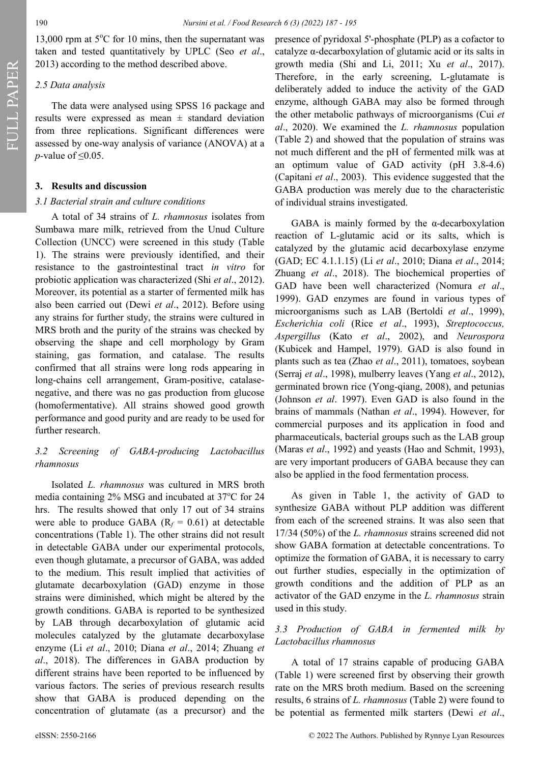FULL PAPER

13,000 rpm at  $5^{\circ}$ C for 10 mins, then the supernatant was taken and tested quantitatively by UPLC (Seo *et al*., 2013) according to the method described above.

#### *2.5 Data analysis*

The data were analysed using SPSS 16 package and results were expressed as mean  $\pm$  standard deviation from three replications. Significant differences were assessed by one-way analysis of variance (ANOVA) at a *p*-value of ≤0.05.

#### **3. Results and discussion**

#### *3.1 Bacterial strain and culture conditions*

A total of 34 strains of *L. rhamnosus* isolates from Sumbawa mare milk, retrieved from the Unud Culture Collection (UNCC) were screened in this study (Table 1). The strains were previously identified, and their resistance to the gastrointestinal tract *in vitro* for probiotic application was characterized (Shi *et al*., 2012). Moreover, its potential as a starter of fermented milk has also been carried out (Dewi *et al*., 2012). Before using any strains for further study, the strains were cultured in MRS broth and the purity of the strains was checked by observing the shape and cell morphology by Gram staining, gas formation, and catalase. The results confirmed that all strains were long rods appearing in long-chains cell arrangement, Gram-positive, catalasenegative, and there was no gas production from glucose (homofermentative). All strains showed good growth performance and good purity and are ready to be used for further research.

#### *3.2 Screening of GABA-producing Lactobacillus rhamnosus*

Isolated *L. rhamnosus* was cultured in MRS broth media containing  $2\%$  MSG and incubated at  $37^{\circ}$ C for  $24$ hrs. The results showed that only 17 out of 34 strains were able to produce GABA  $(R_f = 0.61)$  at detectable concentrations (Table 1). The other strains did not result in detectable GABA under our experimental protocols, even though glutamate, a precursor of GABA, was added to the medium. This result implied that activities of glutamate decarboxylation (GAD) enzyme in those strains were diminished, which might be altered by the growth conditions. GABA is reported to be synthesized by LAB through decarboxylation of glutamic acid molecules catalyzed by the glutamate decarboxylase enzyme (Li *et al*., 2010; Diana *et al*., 2014; Zhuang *et al*., 2018). The differences in GABA production by different strains have been reported to be influenced by various factors. The series of previous research results show that GABA is produced depending on the concentration of glutamate (as a precursor) and the

presence of pyridoxal 5'-phosphate (PLP) as a cofactor to catalyze α-decarboxylation of glutamic acid or its salts in growth media (Shi and Li, 2011; Xu *et al*., 2017). Therefore, in the early screening, L-glutamate is deliberately added to induce the activity of the GAD enzyme, although GABA may also be formed through the other metabolic pathways of microorganisms (Cui *et al*., 2020). We examined the *L. rhamnosus* population (Table 2) and showed that the population of strains was not much different and the pH of fermented milk was at an optimum value of GAD activity (pH 3.8-4.6) (Capitani *et al*., 2003). This evidence suggested that the GABA production was merely due to the characteristic of individual strains investigated.

GABA is mainly formed by the  $\alpha$ -decarboxylation reaction of L-glutamic acid or its salts, which is catalyzed by the glutamic acid decarboxylase enzyme (GAD; EC 4.1.1.15) (Li *et al*., 2010; Diana *et al*., 2014; Zhuang *et al*., 2018). The biochemical properties of GAD have been well characterized (Nomura *et al*., 1999). GAD enzymes are found in various types of microorganisms such as LAB (Bertoldi *et al*., 1999), *Escherichia coli* (Rice *et al*., 1993), *Streptococcus, Aspergillus* (Kato *et al*., 2002), and *Neurospora* (Kubicek and Hampel, 1979). GAD is also found in plants such as tea (Zhao *et al*., 2011), tomatoes, soybean (Serraj *et al*., 1998), mulberry leaves (Yang *et al*., 2012), germinated brown rice (Yong-qiang, 2008), and petunias (Johnson *et al*. 1997). Even GAD is also found in the brains of mammals (Nathan *et al*., 1994). However, for commercial purposes and its application in food and pharmaceuticals, bacterial groups such as the LAB group (Maras *et al*., 1992) and yeasts (Hao and Schmit, 1993), are very important producers of GABA because they can also be applied in the food fermentation process.

As given in Table 1, the activity of GAD to synthesize GABA without PLP addition was different from each of the screened strains. It was also seen that 17/34 (50%) of the *L. rhamnosus* strains screened did not show GABA formation at detectable concentrations. To optimize the formation of GABA, it is necessary to carry out further studies, especially in the optimization of growth conditions and the addition of PLP as an activator of the GAD enzyme in the *L. rhamnosus* strain used in this study.

#### *3.3 Production of GABA in fermented milk by Lactobacillus rhamnosus*

A total of 17 strains capable of producing GABA (Table 1) were screened first by observing their growth rate on the MRS broth medium. Based on the screening results, 6 strains of *L. rhamnosus* (Table 2) were found to be potential as fermented milk starters (Dewi *et al*.,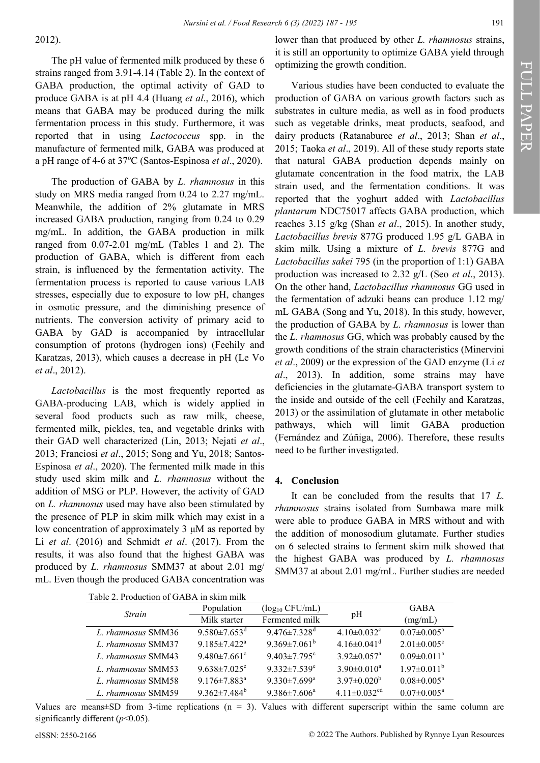#### 2012).

The pH value of fermented milk produced by these 6 strains ranged from 3.91-4.14 (Table 2). In the context of GABA production, the optimal activity of GAD to produce GABA is at pH 4.4 (Huang *et al*., 2016), which means that GABA may be produced during the milk fermentation process in this study. Furthermore, it was reported that in using *Lactococcus* spp. in the manufacture of fermented milk, GABA was produced at a pH range of 4-6 at 37<sup>o</sup>C (Santos-Espinosa *et al.*, 2020).

The production of GABA by *L. rhamnosus* in this study on MRS media ranged from 0.24 to 2.27 mg/mL. Meanwhile, the addition of 2% glutamate in MRS increased GABA production, ranging from 0.24 to 0.29 mg/mL. In addition, the GABA production in milk ranged from 0.07-2.01 mg/mL (Tables 1 and 2). The production of GABA, which is different from each strain, is influenced by the fermentation activity. The fermentation process is reported to cause various LAB stresses, especially due to exposure to low pH, changes in osmotic pressure, and the diminishing presence of nutrients. The conversion activity of primary acid to GABA by GAD is accompanied by intracellular consumption of protons (hydrogen ions) (Feehily and Karatzas, 2013), which causes a decrease in pH (Le Vo *et al*., 2012).

*Lactobacillus* is the most frequently reported as GABA-producing LAB, which is widely applied in several food products such as raw milk, cheese, fermented milk, pickles, tea, and vegetable drinks with their GAD well characterized (Lin, 2013; Nejati *et al*., 2013; Franciosi *et al*., 2015; Song and Yu, 2018; Santos-Espinosa *et al*., 2020). The fermented milk made in this study used skim milk and *L. rhamnosus* without the addition of MSG or PLP. However, the activity of GAD on *L. rhamnosus* used may have also been stimulated by the presence of PLP in skim milk which may exist in a low concentration of approximately 3 μM as reported by Li *et al*. (2016) and Schmidt *et al*. (2017). From the results, it was also found that the highest GABA was produced by *L. rhamnosus* SMM37 at about 2.01 mg/ mL. Even though the produced GABA concentration was

lower than that produced by other *L. rhamnosus* strains, it is still an opportunity to optimize GABA yield through optimizing the growth condition.

Various studies have been conducted to evaluate the production of GABA on various growth factors such as substrates in culture media, as well as in food products such as vegetable drinks, meat products, seafood, and dairy products (Ratanaburee *et al*., 2013; Shan *et al*., 2015; Taoka *et al*., 2019). All of these study reports state that natural GABA production depends mainly on glutamate concentration in the food matrix, the LAB strain used, and the fermentation conditions. It was reported that the yoghurt added with *Lactobacillus plantarum* NDC75017 affects GABA production, which reaches 3.15 g/kg (Shan *et al*., 2015). In another study, *Lactobacillus brevis* 877G produced 1.95 g/L GABA in skim milk. Using a mixture of *L. brevis* 877G and *Lactobacillus sakei* 795 (in the proportion of 1:1) GABA production was increased to 2.32 g/L (Seo *et al*., 2013). On the other hand, *Lactobacillus rhamnosus* GG used in the fermentation of adzuki beans can produce 1.12 mg/ mL GABA (Song and Yu, 2018). In this study, however, the production of GABA by *L. rhamnosus* is lower than the *L. rhamnosus* GG, which was probably caused by the growth conditions of the strain characteristics (Minervini *et al*., 2009) or the expression of the GAD enzyme (Li *et al*., 2013). In addition, some strains may have deficiencies in the glutamate-GABA transport system to the inside and outside of the cell (Feehily and Karatzas, 2013) or the assimilation of glutamate in other metabolic pathways, which will limit GABA production (Fernández and Zúñiga, 2006). Therefore, these results need to be further investigated.

#### **4. Conclusion**

It can be concluded from the results that 17 *L. rhamnosus* strains isolated from Sumbawa mare milk were able to produce GABA in MRS without and with the addition of monosodium glutamate. Further studies on 6 selected strains to ferment skim milk showed that the highest GABA was produced by *L. rhamnosus* SMM37 at about 2.01 mg/mL. Further studies are needed

| Table 2. Production of GABA in skim milk |                                |                                |                                |                               |  |  |
|------------------------------------------|--------------------------------|--------------------------------|--------------------------------|-------------------------------|--|--|
| Strain                                   | Population                     | $(\log_{10} CFU/mL)$           | pH                             | <b>GABA</b>                   |  |  |
|                                          | Milk starter                   | Fermented milk                 |                                | (mg/mL)                       |  |  |
| L. rhamnosus SMM36                       | $9.580 \pm 7.653$ <sup>d</sup> | 9.476 $\pm$ 7.328 <sup>d</sup> | $4.10\pm0.032$ <sup>c</sup>    | $0.07 \pm 0.005^{\text{a}}$   |  |  |
| L. rhamnosus SMM37                       | $9.185 \pm 7.422^{\text{a}}$   | 9.369 $\pm$ 7.061 <sup>b</sup> | $4.16 \pm 0.041$ <sup>d</sup>  | $2.01 \pm 0.005$ <sup>c</sup> |  |  |
| L. rhamnosus SMM43                       | $9.480 \pm 7.661$ °            | $9.403 \pm 7.795$ <sup>c</sup> | $3.92 \pm 0.057$ <sup>a</sup>  | $0.09 \pm 0.011^a$            |  |  |
| L. rhamnosus SMM53                       | $9.638 \pm 7.025$ <sup>e</sup> | $9.332 \pm 7.539$ <sup>e</sup> | $3.90 \pm 0.010^a$             | $1.97 \pm 0.011^b$            |  |  |
| L. rhamnosus SMM58                       | $9.176 \pm 7.883$ <sup>a</sup> | $9.330 \pm 7.699^{\mathrm{a}}$ | $3.97 \pm 0.020^{\rm b}$       | $0.08 \pm 0.005^{\text{a}}$   |  |  |
| L. rhamnosus SMM59                       | 9.362 $\pm$ 7.484 <sup>b</sup> | $9.386 \pm 7.606^a$            | 4.11 $\pm$ 0.032 <sup>cd</sup> | $0.07 \pm 0.005^{\text{a}}$   |  |  |

Values are means $\pm$ SD from 3-time replications (n = 3). Values with different superscript within the same column are significantly different (*p*<0.05).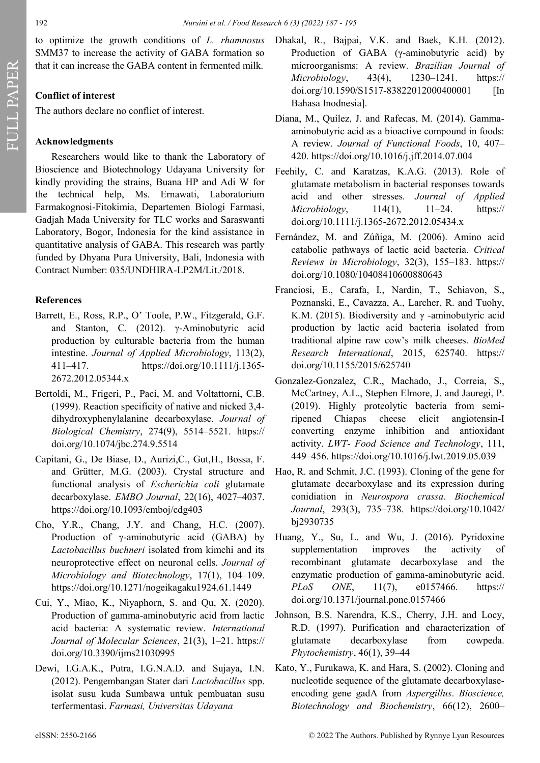to optimize the growth conditions of *L. rhamnosus* SMM37 to increase the activity of GABA formation so that it can increase the GABA content in fermented milk.

## **Conflict of interest**

The authors declare no conflict of interest.

## **Acknowledgments**

Researchers would like to thank the Laboratory of Bioscience and Biotechnology Udayana University for kindly providing the strains, Buana HP and Adi W for the technical help, Ms. Ernawati, Laboratorium Farmakognosi-Fitokimia, Departemen Biologi Farmasi, Gadjah Mada University for TLC works and Saraswanti Laboratory, Bogor, Indonesia for the kind assistance in quantitative analysis of GABA. This research was partly funded by Dhyana Pura University, Bali, Indonesia with Contract Number: 035/UNDHIRA-LP2M/Lit./2018.

## **References**

- Barrett, E., Ross, R.P., O' Toole, P.W., Fitzgerald, G.F. and Stanton, C. (2012). γ-Aminobutyric acid production by culturable bacteria from the human intestine. *Journal of Applied Microbiology*, 113(2), 411–417. https://doi.org/10.1111/j.1365- 2672.2012.05344.x
- Bertoldi, M., Frigeri, P., Paci, M. and Voltattorni, C.B. (1999). Reaction specificity of native and nicked 3,4 dihydroxyphenylalanine decarboxylase. *Journal of Biological Chemistry*, 274(9), 5514–5521. https:// doi.org/10.1074/jbc.274.9.5514
- Capitani, G., De Biase, D., Aurizi,C., Gut,H., Bossa, F. and Grütter, M.G. (2003). Crystal structure and functional analysis of *Escherichia coli* glutamate decarboxylase. *EMBO Journal*, 22(16), 4027–4037. https://doi.org/10.1093/emboj/cdg403
- Cho, Y.R., Chang, J.Y. and Chang, H.C. (2007). Production of γ-aminobutyric acid (GABA) by *Lactobacillus buchneri* isolated from kimchi and its neuroprotective effect on neuronal cells. *Journal of Microbiology and Biotechnology*, 17(1), 104–109. https://doi.org/10.1271/nogeikagaku1924.61.1449
- Cui, Y., Miao, K., Niyaphorn, S. and Qu, X. (2020). Production of gamma-aminobutyric acid from lactic acid bacteria: A systematic review. *International Journal of Molecular Sciences*, 21(3), 1–21. https:// doi.org/10.3390/ijms21030995
- Dewi, I.G.A.K., Putra, I.G.N.A.D. and Sujaya, I.N. (2012). Pengembangan Stater dari *Lactobacillus* spp. isolat susu kuda Sumbawa untuk pembuatan susu terfermentasi. *Farmasi, Universitas Udayana*
- Dhakal, R., Bajpai, V.K. and Baek, K.H. (2012). Production of GABA (γ-aminobutyric acid) by microorganisms: A review. *Brazilian Journal of Microbiology*, 43(4), 1230–1241. [https://](https://doi.org/10.1590/S1517-83822012000400001) doi.org/10.1590/S1517-[83822012000400001 \[](https://doi.org/10.1590/S1517-83822012000400001)In Bahasa Inodnesia].
- Diana, M., Quílez, J. and Rafecas, M. (2014). Gammaaminobutyric acid as a bioactive compound in foods: A review. *Journal of Functional Foods*, 10, 407– 420. https://doi.org/10.1016/j.jff.2014.07.004
- Feehily, C. and Karatzas, K.A.G. (2013). Role of glutamate metabolism in bacterial responses towards acid and other stresses. *Journal of Applied Microbiology*, 114(1), 11–24. https:// doi.org/10.1111/j.1365-2672.2012.05434.x
- Fernández, M. and Zúñiga, M. (2006). Amino acid catabolic pathways of lactic acid bacteria. *Critical Reviews in Microbiology*, 32(3), 155–183. https:// doi.org/10.1080/10408410600880643
- Franciosi, E., Carafa, I., Nardin, T., Schiavon, S., Poznanski, E., Cavazza, A., Larcher, R. and Tuohy, K.M. (2015). Biodiversity and  $\gamma$  -aminobutyric acid production by lactic acid bacteria isolated from traditional alpine raw cow's milk cheeses. *BioMed Research International*, 2015, 625740. https:// doi.org/10.1155/2015/625740
- Gonzalez-Gonzalez, C.R., Machado, J., Correia, S., McCartney, A.L., Stephen Elmore, J. and Jauregi, P. (2019). Highly proteolytic bacteria from semiripened Chiapas cheese elicit angiotensin-I converting enzyme inhibition and antioxidant activity. *LWT- Food Science and Technology*, 111, 449–456. https://doi.org/10.1016/j.lwt.2019.05.039
- Hao, R. and Schmit, J.C. (1993). Cloning of the gene for glutamate decarboxylase and its expression during conidiation in *Neurospora crassa*. *Biochemical Journal*, 293(3), 735–738. https://doi.org/10.1042/ bj2930735
- Huang, Y., Su, L. and Wu, J. (2016). Pyridoxine supplementation improves the activity of recombinant glutamate decarboxylase and the enzymatic production of gamma-aminobutyric acid. *PLoS ONE*, 11(7), e0157466. https:// doi.org/10.1371/journal.pone.0157466
- Johnson, B.S. Narendra, K.S., Cherry, J.H. and Locy, R.D. (1997). Purification and characterization of glutamate decarboxylase from cowpeda. *Phytochemistry*, 46(1), 39–44
- Kato, Y., Furukawa, K. and Hara, S. (2002). Cloning and nucleotide sequence of the glutamate decarboxylaseencoding gene gadA from *Aspergillus*. *Bioscience, Biotechnology and Biochemistry*, 66(12), 2600–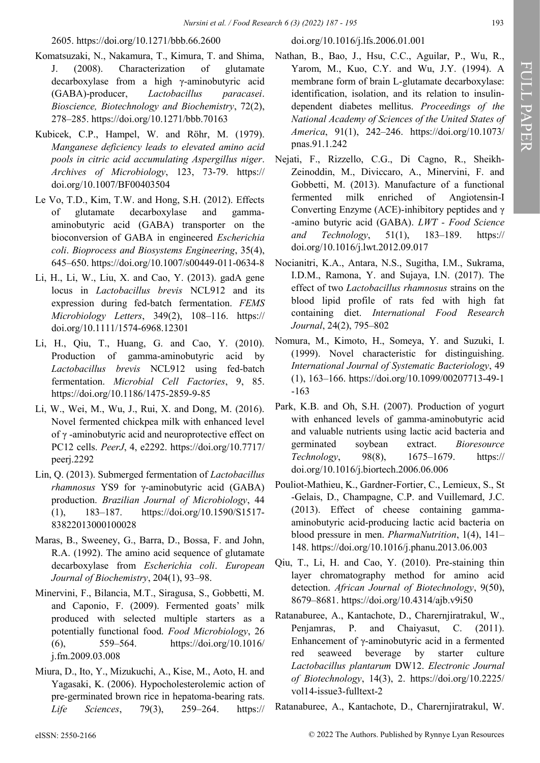2605. https://doi.org/10.1271/bbb.66.2600

- Komatsuzaki, N., Nakamura, T., Kimura, T. and Shima, J. (2008). Characterization of glutamate decarboxylase from a high γ-aminobutyric acid (GABA)-producer, *Lactobacillus paracasei*. *Bioscience, Biotechnology and Biochemistry*, 72(2), 278–285. https://doi.org/10.1271/bbb.70163
- Kubicek, C.P., Hampel, W. and Röhr, M. (1979). *Manganese deficiency leads to elevated amino acid pools in citric acid accumulating Aspergillus niger*. *Archives of Microbiology*, 123, 73-79. https:// [doi.org/10.1007/BF00403504](https://doi.org/10.1007/BF00403504)
- Le Vo, T.D., Kim, T.W. and Hong, S.H. (2012). Effects of glutamate decarboxylase and gammaaminobutyric acid (GABA) transporter on the bioconversion of GABA in engineered *Escherichia coli*. *Bioprocess and Biosystems Engineering*, 35(4), 645–650. https://doi.org/10.1007/s00449-011-0634-8
- Li, H., Li, W., Liu, X. and Cao, Y. (2013). gadA gene locus in *Lactobacillus brevis* NCL912 and its expression during fed-batch fermentation. *FEMS Microbiology Letters*, 349(2), 108–116. https:// doi.org/10.1111/1574-6968.12301
- Li, H., Qiu, T., Huang, G. and Cao, Y. (2010). Production of gamma-aminobutyric acid by *Lactobacillus brevis* NCL912 using fed-batch fermentation. *Microbial Cell Factories*, 9, 85. https://doi.org/10.1186/1475-2859-9-85
- Li, W., Wei, M., Wu, J., Rui, X. and Dong, M. (2016). Novel fermented chickpea milk with enhanced level of γ -aminobutyric acid and neuroprotective effect on PC12 cells. *PeerJ*, 4, e2292. https://doi.org/10.7717/ peerj.2292
- Lin, Q. (2013). Submerged fermentation of *Lactobacillus rhamnosus* YS9 for γ-aminobutyric acid (GABA) production. *Brazilian Journal of Microbiology*, 44 (1), 183–187. https://doi.org/10.1590/S1517- 83822013000100028
- Maras, B., Sweeney, G., Barra, D., Bossa, F. and John, R.A. (1992). The amino acid sequence of glutamate decarboxylase from *Escherichia coli*. *European Journal of Biochemistry*, 204(1), 93–98.
- Minervini, F., Bilancia, M.T., Siragusa, S., Gobbetti, M. and Caponio, F. (2009). Fermented goats' milk produced with selected multiple starters as a potentially functional food. *Food Microbiology*, 26 (6), 559–564. https://doi.org/10.1016/ j.fm.2009.03.008
- Miura, D., Ito, Y., Mizukuchi, A., Kise, M., Aoto, H. and Yagasaki, K. (2006). Hypocholesterolemic action of pre-germinated brown rice in hepatoma-bearing rats. *Life Sciences*, 79(3), 259–264. https://

#### doi.org/10.1016/j.lfs.2006.01.001

- Nathan, B., Bao, J., Hsu, C.C., Aguilar, P., Wu, R., Yarom, M., Kuo, C.Y. and Wu, J.Y. (1994). A membrane form of brain L-glutamate decarboxylase: identification, isolation, and its relation to insulindependent diabetes mellitus. *Proceedings of the National Academy of Sciences of the United States of America*, 91(1), 242–246. https://doi.org/10.1073/ pnas.91.1.242
- Nejati, F., Rizzello, C.G., Di Cagno, R., Sheikh-Zeinoddin, M., Diviccaro, A., Minervini, F. and Gobbetti, M. (2013). Manufacture of a functional fermented milk enriched of Angiotensin-I Converting Enzyme (ACE)-inhibitory peptides and γ -amino butyric acid (GABA). *LWT - Food Science and Technology*, 51(1), 183–189. https:// doi.org/10.1016/j.lwt.2012.09.017
- Nocianitri, K.A., Antara, N.S., Sugitha, I.M., Sukrama, I.D.M., Ramona, Y. and Sujaya, I.N. (2017). The effect of two *Lactobacillus rhamnosus* strains on the blood lipid profile of rats fed with high fat containing diet. *International Food Research Journal*, 24(2), 795–802
- Nomura, M., Kimoto, H., Someya, Y. and Suzuki, I. (1999). Novel characteristic for distinguishing. *International Journal of Systematic Bacteriology*, 49 (1), 163–166. [https://doi.org/10.1099/00207713](https://doi.org/10.1099/00207713-49-1-163)-49-1 -[163](https://doi.org/10.1099/00207713-49-1-163)
- Park, K.B. and Oh, S.H. (2007). Production of yogurt with enhanced levels of gamma-aminobutyric acid and valuable nutrients using lactic acid bacteria and germinated soybean extract. *Bioresource Technology*, 98(8), 1675–1679. https:// doi.org/10.1016/j.biortech.2006.06.006
- Pouliot-Mathieu, K., Gardner-Fortier, C., Lemieux, S., St -Gelais, D., Champagne, C.P. and Vuillemard, J.C. (2013). Effect of cheese containing gammaaminobutyric acid-producing lactic acid bacteria on blood pressure in men. *PharmaNutrition*, 1(4), 141– 148. https://doi.org/10.1016/j.phanu.2013.06.003
- Qiu, T., Li, H. and Cao, Y. (2010). Pre-staining thin layer chromatography method for amino acid detection. *African Journal of Biotechnology*, 9(50), 8679–8681. https://doi.org/10.4314/ajb.v9i50
- Ratanaburee, A., Kantachote, D., Charernjiratrakul, W., Penjamras, P. and Chaiyasut, C. (2011). Enhancement of γ-aminobutyric acid in a fermented red seaweed beverage by starter culture *Lactobacillus plantarum* DW12. *Electronic Journal of Biotechnology*, 14(3), 2. https://doi.org/10.2225/ vol14-issue3-fulltext-2
- Ratanaburee, A., Kantachote, D., Charernjiratrakul, W.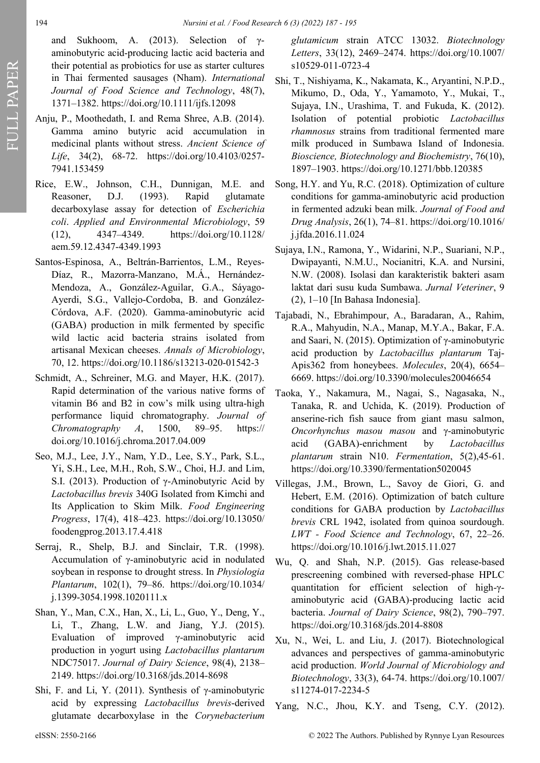and Sukhoom, A. (2013). Selection of γaminobutyric acid-producing lactic acid bacteria and their potential as probiotics for use as starter cultures in Thai fermented sausages (Nham). *International Journal of Food Science and Technology*, 48(7), 1371–1382. https://doi.org/10.1111/ijfs.12098

- Anju, P., Moothedath, I. and Rema Shree, A.B. (2014). Gamma amino butyric acid accumulation in medicinal plants without stress. *Ancient Science of Life*, 34(2), 68-72. https://doi.org/10.4103/0257- 7941.153459
- Rice, E.W., Johnson, C.H., Dunnigan, M.E. and Reasoner, D.J. (1993). Rapid glutamate decarboxylase assay for detection of *Escherichia coli*. *Applied and Environmental Microbiology*, 59 (12), 4347–4349. https://doi.org/10.1128/ aem.59.12.4347-4349.1993
- Santos-Espinosa, A., Beltrán-Barrientos, L.M., Reyes-Díaz, R., Mazorra-Manzano, M.Á., Hernández-Mendoza, A., González-Aguilar, G.A., Sáyago-Ayerdi, S.G., Vallejo-Cordoba, B. and González-Córdova, A.F. (2020). Gamma-aminobutyric acid (GABA) production in milk fermented by specific wild lactic acid bacteria strains isolated from artisanal Mexican cheeses. *Annals of Microbiology*, 70, 12. https://doi.org/10.1186/s13213-020-01542-3
- Schmidt, A., Schreiner, M.G. and Mayer, H.K. (2017). Rapid determination of the various native forms of vitamin B6 and B2 in cow's milk using ultra-high performance liquid chromatography. *Journal of Chromatography A*, 1500, 89–95. https:// doi.org/10.1016/j.chroma.2017.04.009
- Seo, M.J., Lee, J.Y., Nam, Y.D., Lee, S.Y., Park, S.L., Yi, S.H., Lee, M.H., Roh, S.W., Choi, H.J. and Lim, S.I. (2013). Production of γ-Aminobutyric Acid by *Lactobacillus brevis* 340G Isolated from Kimchi and Its Application to Skim Milk. *Food Engineering Progress*, 17(4), 418–423. https://doi.org/10.13050/ foodengprog.2013.17.4.418
- Serraj, R., Shelp, B.J. and Sinclair, T.R. (1998). Accumulation of γ-aminobutyric acid in nodulated soybean in response to drought stress. In *Physiologia Plantarum*, 102(1), 79–86. https://doi.org/10.1034/ j.1399-3054.1998.1020111.x
- Shan, Y., Man, C.X., Han, X., Li, L., Guo, Y., Deng, Y., Li, T., Zhang, L.W. and Jiang, Y.J. (2015). Evaluation of improved γ-aminobutyric acid production in yogurt using *Lactobacillus plantarum* NDC75017. *Journal of Dairy Science*, 98(4), 2138– 2149. https://doi.org/10.3168/jds.2014-8698
- Shi, F. and Li, Y. (2011). Synthesis of γ-aminobutyric acid by expressing *Lactobacillus brevis*-derived glutamate decarboxylase in the *Corynebacterium*

*glutamicum* strain ATCC 13032. *Biotechnology Letters*, 33(12), 2469–2474. https://doi.org/10.1007/ s10529-011-0723-4

- Shi, T., Nishiyama, K., Nakamata, K., Aryantini, N.P.D., Mikumo, D., Oda, Y., Yamamoto, Y., Mukai, T., Sujaya, I.N., Urashima, T. and Fukuda, K. (2012). Isolation of potential probiotic *Lactobacillus rhamnosus* strains from traditional fermented mare milk produced in Sumbawa Island of Indonesia. *Bioscience, Biotechnology and Biochemistry*, 76(10), 1897–1903. https://doi.org/10.1271/bbb.120385
- Song, H.Y. and Yu, R.C. (2018). Optimization of culture conditions for gamma-aminobutyric acid production in fermented adzuki bean milk. *Journal of Food and Drug Analysis*, 26(1), 74–81. https://doi.org/10.1016/ j.jfda.2016.11.024
- Sujaya, I.N., Ramona, Y., Widarini, N.P., Suariani, N.P., Dwipayanti, N.M.U., Nocianitri, K.A. and Nursini, N.W. (2008). Isolasi dan karakteristik bakteri asam laktat dari susu kuda Sumbawa. *Jurnal Veteriner*, 9 (2), 1–10 [In Bahasa Indonesia].
- Tajabadi, N., Ebrahimpour, A., Baradaran, A., Rahim, R.A., Mahyudin, N.A., Manap, M.Y.A., Bakar, F.A. and Saari, N. (2015). Optimization of γ-aminobutyric acid production by *Lactobacillus plantarum* Taj-Apis362 from honeybees. *Molecules*, 20(4), 6654– 6669. https://doi.org/10.3390/molecules20046654
- Taoka, Y., Nakamura, M., Nagai, S., Nagasaka, N., Tanaka, R. and Uchida, K. (2019). Production of anserine-rich fish sauce from giant masu salmon, *Oncorhynchus masou masou* and γ-aminobutyric acid (GABA)-enrichment by *Lactobacillus plantarum* strain N10. *Fermentation*, 5(2),45-61. https://doi.org/10.3390/fermentation5020045
- Villegas, J.M., Brown, L., Savoy de Giori, G. and Hebert, E.M. (2016). Optimization of batch culture conditions for GABA production by *Lactobacillus brevis* CRL 1942, isolated from quinoa sourdough. *LWT - Food Science and Technology*, 67, 22–26. https://doi.org/10.1016/j.lwt.2015.11.027
- Wu, Q. and Shah, N.P. (2015). Gas release-based prescreening combined with reversed-phase HPLC quantitation for efficient selection of high-γaminobutyric acid (GABA)-producing lactic acid bacteria. *Journal of Dairy Science*, 98(2), 790–797. https://doi.org/10.3168/jds.2014-8808
- Xu, N., Wei, L. and Liu, J. (2017). Biotechnological advances and perspectives of gamma-aminobutyric acid production. *World Journal of Microbiology and Biotechnology*, 33(3), 64-74. https://doi.org/10.1007/ s11274-017-2234-5
- Yang, N.C., Jhou, K.Y. and Tseng, C.Y. (2012).